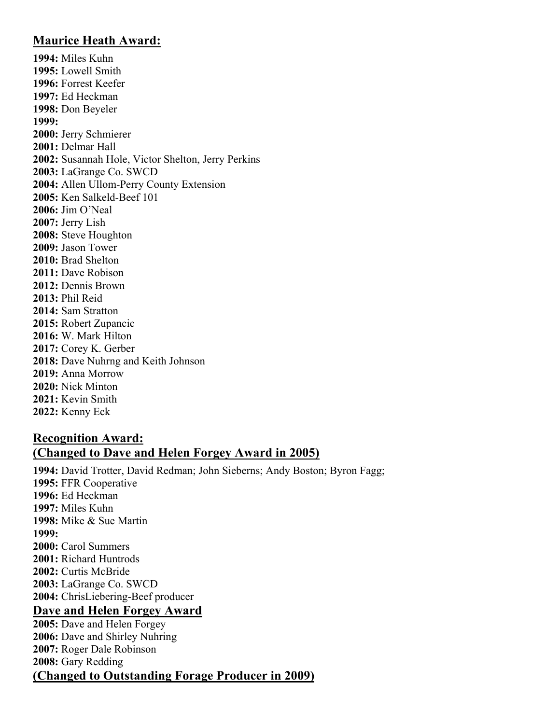## **Maurice Heath Award:**

**1994:** Miles Kuhn **1995:** Lowell Smith **1996:** Forrest Keefer **1997:** Ed Heckman **1998:** Don Beyeler **1999: 2000:** Jerry Schmierer **2001:** Delmar Hall **2002:** Susannah Hole, Victor Shelton, Jerry Perkins **2003:** LaGrange Co. SWCD **2004:** Allen Ullom-Perry County Extension **2005:** Ken Salkeld-Beef 101 **2006:** Jim O'Neal **2007:** Jerry Lish **2008:** Steve Houghton **2009:** Jason Tower **2010:** Brad Shelton **2011:** Dave Robison **2012:** Dennis Brown **2013:** Phil Reid **2014:** Sam Stratton **2015:** Robert Zupancic **2016:** W. Mark Hilton **2017:** Corey K. Gerber **2018:** Dave Nuhrng and Keith Johnson **2019:** Anna Morrow **2020:** Nick Minton **2021:** Kevin Smith **2022:** Kenny Eck

## **Recognition Award: (Changed to Dave and Helen Forgey Award in 2005)**

**1994:** David Trotter, David Redman; John Sieberns; Andy Boston; Byron Fagg; **1995:** FFR Cooperative **1996:** Ed Heckman **1997:** Miles Kuhn **1998:** Mike & Sue Martin **1999: 2000:** Carol Summers **2001:** Richard Huntrods **2002:** Curtis McBride **2003:** LaGrange Co. SWCD **2004:** ChrisLiebering-Beef producer **Dave and Helen Forgey Award 2005:** Dave and Helen Forgey **2006:** Dave and Shirley Nuhring **2007:** Roger Dale Robinson **2008:** Gary Redding **(Changed to Outstanding Forage Producer in 2009)**